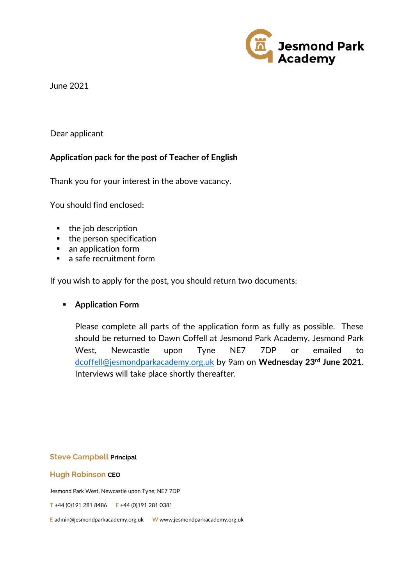

June 2021

## Dear applicant

## **Application pack for the post of Teacher of English**

Thank you for your interest in the above vacancy.

You should find enclosed:

- the job description
- $\blacksquare$  the person specification
- an application form
- a safe recruitment form

If you wish to apply for the post, you should return two documents:

## **Application Form**

Please complete all parts of the application form as fully as possible. These should be returned to Dawn Coffell at Jesmond Park Academy, Jesmond Park West, Newcastle upon Tyne NE7 7DP or emailed to [dcoffell@jesmondparkacademy.org.uk](mailto:dcoffell@jesmondparkacademy.org.uk) by 9am on **Wednesday 23rd June 2021.** Interviews will take place shortly thereafter.

**Steve Campbell Principal**

**Hugh Robinson CEO**

Jesmond Park West, Newcastle upon Tyne, NE7 7DP

**T** +44 (0)191 281 8486 **F** +44 (0)191 281 0381

**E** admin@jesmondparkacademy.org.uk **W** www.jesmondparkacademy.org.uk